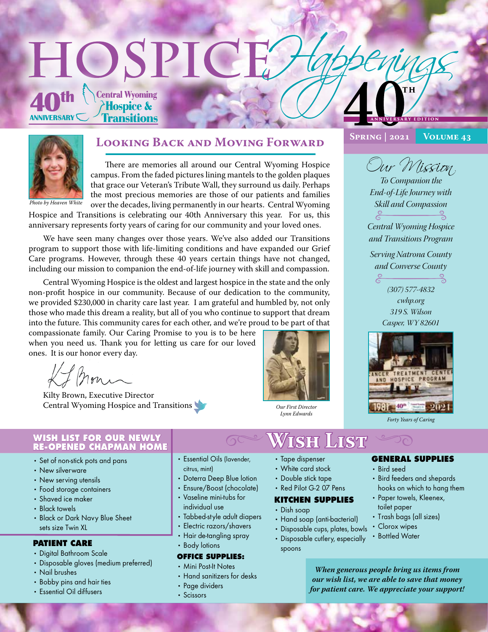## HOSPICI **Central Wyoming Hospice & ANNIVERSARY Fransitions A N N IVE R S ARY E D I T I O N**



*Photo by Heaven White*

## **Looking Back and Moving Forward**

There are memories all around our Central Wyoming Hospice campus. From the faded pictures lining mantels to the golden plaques that grace our Veteran's Tribute Wall, they surround us daily. Perhaps the most precious memories are those of our patients and families over the decades, living permanently in our hearts. Central Wyoming

Hospice and Transitions is celebrating our 40th Anniversary this year. For us, this anniversary represents forty years of caring for our community and your loved ones.

We have seen many changes over those years. We've also added our Transitions program to support those with life-limiting conditions and have expanded our Grief Care programs. However, through these 40 years certain things have not changed, including our mission to companion the end-of-life journey with skill and compassion.

Central Wyoming Hospice is the oldest and largest hospice in the state and the only non-profit hospice in our community. Because of our dedication to the community, we provided \$230,000 in charity care last year. I am grateful and humbled by, not only those who made this dream a reality, but all of you who continue to support that dream into the future. This community cares for each other, and we're proud to be part of that

compassionate family. Our Caring Promise to you is to be here when you need us. Thank you for letting us care for our loved ones. It is our honor every day.

I non

Kilty Brown, Executive Director Central Wyoming Hospice and Transitions



*Our First Director Lynn Edwards*

**Spring | 2021 Volume 43**

Our Mission *To Companion the End-of-Life Journey with*  N *Skill and Compassion*

*Central Wyoming Hospice and Transitions Program*

*Serving Natrona County* 



*cwhp.org 319 S. Wilson Casper, WY 82601*



*Forty Years of Caring*

#### **WISH LIST FOR OUR NEWLY RE-OPENED CHAPMAN HOME**

- Set of non-stick pots and pans
- New silverware
- New serving utensils
- Food storage containers
- Shaved ice maker
- Black towels
- Black or Dark Navy Blue Sheet sets size Twin XL

#### **PATIENT CARE**

- Digital Bathroom Scale
- Disposable gloves (medium preferred)
- Nail brushes
- Bobby pins and hair ties
- Essential Oil diffusers
- Essential Oils (lavender, citrus, mint)
- Doterra Deep Blue lotion
- Ensure/Boost (chocolate)
- Vaseline mini-tubs for individual use
- Tabbed-style adult diapers
- Electric razors/shavers
- Hair de-tangling spray
- Body lotions

#### **OFFICE SUPPLIES:**

- Mini Post-It Notes
- Hand sanitizers for desks
- Page dividers
- Scissors

# <sup>t</sup>**Wish List** <sup>t</sup>

- Tape dispenser
- White card stock
- Double stick tape
- Red Pilot G-2 07 Pens

## **KITCHEN SUPPLIES**

#### • Dish soap

- Hand soap (anti-bacterial)
- Disposable cups, plates, bowls
- Disposable cutlery, especially spoons

#### **GENERAL SUPPLIES**

- Bird seed
- Bird feeders and shepards hooks on which to hang them
- Paper towels, Kleenex, toilet paper
- Trash bags (all sizes)
- Clorox wipes
- Bottled Water

*When generous people bring us items from our wish list, we are able to save that money for patient care. We appreciate your support!*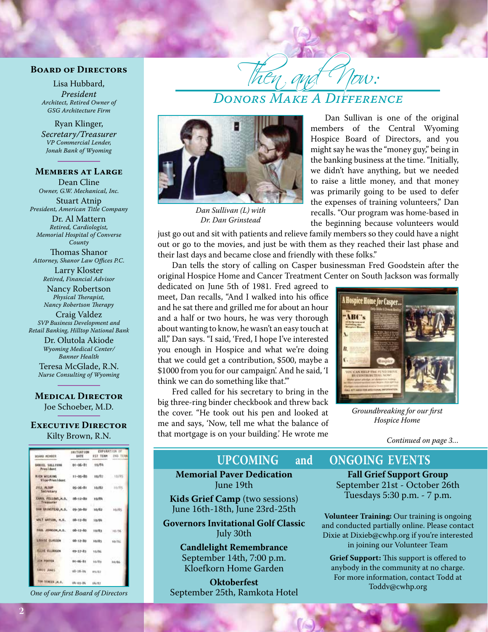#### **Board of Directors**

Lisa Hubbard, *President Architect, Retired Owner of GSG Architecture Firm*

Ryan Klinger, *Secretary/Treasurer VP Commercial Lender, Jonah Bank of Wyoming*

### **Members at Large**

Dean Cline *Owner, G.W. Mechanical, Inc.*

Stuart Atnip *President, American Title Company* Dr. Al Mattern

*Retired, Cardiologist, Memorial Hospital of Converse County* Thomas Shanor *Attorney, Shanor Law Offices P.C.*

> Larry Kloster *Retired, Financial Advisor*

Nancy Robertson *Physical Therapist, Nancy Robertson Therapy*

Craig Valdez *SVP Business Development and Retail Banking, Hilltop National Bank*

> Dr. Olutola Akiode *Wyoming Medical Center/ Banner Health*

Teresa McGlade, R.N. *Nurse Consulting of Wyoming*

#### **Medical Director**

Joe Schoeber, M.D.

#### **Executive Director** Kilty Brown, R.N.

| <b>WINDER GRACE</b>                          | <b>INITIATION</b><br><b>DATE</b> | EXPERATION OF         |           |
|----------------------------------------------|----------------------------------|-----------------------|-----------|
|                                              |                                  | <b>SST TERM : 2ND</b> |           |
| BANSEL SIX LIVEN<br><b>President</b>         | 01-06-81                         | 10/84                 |           |
| <b><i>RICH WILKING</i></b><br>Vloe-President | $11 - 05 - 80$                   | 16/81                 | $-18/85$  |
| JULI, ALBUM<br>Secretary                     | 05-26-81                         | 10/82                 | $-30.09%$ |
| CAROL FELLOWS, M.D., 08-12-80<br>Treasurer   |                                  | 10/84                 |           |
| DAN SAINSTEAD, M.D. 09-30-80                 |                                  | 10/82                 | Ho/St.    |
| MAI MATSON, M.D. DB-12-80                    |                                  | 10/84                 |           |
| FAIR JOHNSON, H.D. 08-12-80                  |                                  | 10/83                 | $-10/36$  |
| LOUISE CLASSEN                               | $08 - 13 - 80$                   | 80/81                 | 10/16     |
| <b>ELLEE ELLBOGEN</b>                        | $09 - 27 - 83$                   | 1/3/56                |           |
| JUN POUTER                                   | 84-86-81                         | 10/81                 | 3.0784    |
| <b>URIT JUNEL</b>                            | 10-16-14                         | <b>MA/BZ</b>          |           |
| TOP SCHEEN, M.D.                             | 109-109-06                       | 106/1981              |           |

*One of our first Board of Directors*



*Dan Sullivan (L) with Dr. Dan Grinstead*

Dan Sullivan is one of the original members of the Central Wyoming Hospice Board of Directors, and you might say he was the "money guy," being in the banking business at the time. "Initially, we didn't have anything, but we needed to raise a little money, and that money was primarily going to be used to defer the expenses of training volunteers," Dan recalls. "Our program was home-based in the beginning because volunteers would

just go out and sit with patients and relieve family members so they could have a night out or go to the movies, and just be with them as they reached their last phase and their last days and became close and friendly with these folks."

Then and Now:

*Donors Make A Difference*

Dan tells the story of calling on Casper businessman Fred Goodstein after the original Hospice Home and Cancer Treatment Center on South Jackson was formally

dedicated on June 5th of 1981. Fred agreed to meet, Dan recalls, "And I walked into his office and he sat there and grilled me for about an hour and a half or two hours, he was very thorough about wanting to know, he wasn't an easy touch at all," Dan says. "I said, 'Fred, I hope I've interested you enough in Hospice and what we're doing that we could get a contribution, \$500, maybe a \$1000 from you for our campaign'. And he said, 'I think we can do something like that.'"

Fred called for his secretary to bring in the big three-ring binder checkbook and threw back the cover. "He took out his pen and looked at me and says, 'Now, tell me what the balance of that mortgage is on your building.' He wrote me



*Groundbreaking for our first Hospice Home*

*Continued on page 3…*

**Memorial Paver Dedication**  June 19th

**Kids Grief Camp** (two sessions) June 16th-18th, June 23rd-25th

**Governors Invitational Golf Classic** July 30th

> **Candlelight Remembrance** September 14th, 7:00 p.m. Kloefkorn Home Garden

**Oktoberfest** September 25th, Ramkota Hotel

## **UPCOMING and ONGOING EVENTS**

**Fall Grief Support Group** September 21st - October 26th Tuesdays 5:30 p.m. - 7 p.m.

**Volunteer Training:** Our training is ongoing and conducted partially online. Please contact Dixie at Dixieb@cwhp.org if you're interested in joining our Volunteer Team

**Grief Support:** This support is offered to anybody in the community at no charge. For more information, contact Todd at Toddv@cwhp.org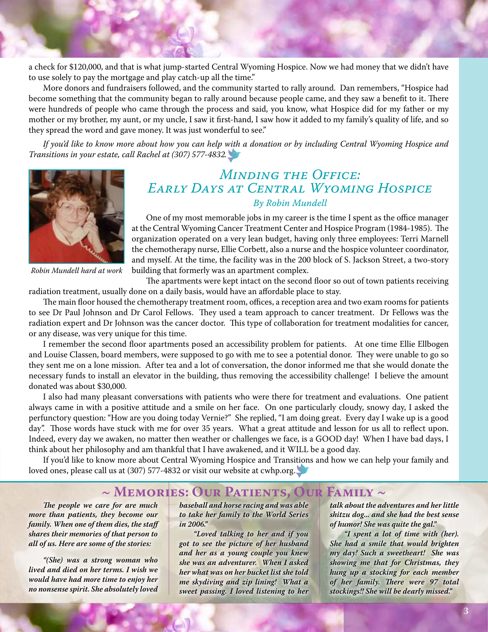a check for \$120,000, and that is what jump-started Central Wyoming Hospice. Now we had money that we didn't have to use solely to pay the mortgage and play catch-up all the time."

More donors and fundraisers followed, and the community started to rally around. Dan remembers, "Hospice had become something that the community began to rally around because people came, and they saw a benefit to it. There were hundreds of people who came through the process and said, you know, what Hospice did for my father or my mother or my brother, my aunt, or my uncle, I saw it first-hand, I saw how it added to my family's quality of life, and so they spread the word and gave money. It was just wonderful to see."

*If you'd like to know more about how you can help with a donation or by including Central Wyoming Hospice and Transitions in your estate, call Rachel at (307) 577-4832.*



*Minding the Office: Early Days at Central Wyoming Hospice By Robin Mundell*

One of my most memorable jobs in my career is the time I spent as the office manager at the Central Wyoming Cancer Treatment Center and Hospice Program (1984-1985). The organization operated on a very lean budget, having only three employees: Terri Marnell the chemotherapy nurse, Ellie Corbett, also a nurse and the hospice volunteer coordinator, and myself. At the time, the facility was in the 200 block of S. Jackson Street, a two-story building that formerly was an apartment complex.

*Robin Mundell hard at work*

The apartments were kept intact on the second floor so out of town patients receiving radiation treatment, usually done on a daily basis, would have an affordable place to stay.

The main floor housed the chemotherapy treatment room, offices, a reception area and two exam rooms for patients to see Dr Paul Johnson and Dr Carol Fellows. They used a team approach to cancer treatment. Dr Fellows was the radiation expert and Dr Johnson was the cancer doctor. This type of collaboration for treatment modalities for cancer, or any disease, was very unique for this time.

I remember the second floor apartments posed an accessibility problem for patients. At one time Ellie Ellbogen and Louise Classen, board members, were supposed to go with me to see a potential donor. They were unable to go so they sent me on a lone mission. After tea and a lot of conversation, the donor informed me that she would donate the necessary funds to install an elevator in the building, thus removing the accessibility challenge! I believe the amount donated was about \$30,000.

I also had many pleasant conversations with patients who were there for treatment and evaluations. One patient always came in with a positive attitude and a smile on her face. On one particularly cloudy, snowy day, I asked the perfunctory question: "How are you doing today Vernie?" She replied, "I am doing great. Every day I wake up is a good day". Those words have stuck with me for over 35 years. What a great attitude and lesson for us all to reflect upon. Indeed, every day we awaken, no matter then weather or challenges we face, is a GOOD day! When I have bad days, I think about her philosophy and am thankful that I have awakened, and it WILL be a good day.

If you'd like to know more about Central Wyoming Hospice and Transitions and how we can help your family and loved ones, please call us at (307) 577-4832 or visit our website at cwhp.org.

## **~ Memories: Our Patients, Our Family ~**

*The people we care for are much more than patients, they become our family. When one of them dies, the staff shares their memories of that person to all of us. Here are some of the stories:* 

*"(She) was a strong woman who lived and died on her terms. I wish we would have had more time to enjoy her no nonsense spirit. She absolutely loved*  *baseball and horse racing and was able to take her family to the World Series in 2006."*

*"Loved talking to her and if you got to see the picture of her husband and her as a young couple you knew she was an adventurer. When I asked her what was on her bucket list she told me skydiving and zip lining! What a sweet passing. I loved listening to her*  *talk about the adventures and her little shitzu dog... and she had the best sense of humor! She was quite the gal."*

*"I spent a lot of time with (her). She had a smile that would brighten my day! Such a sweetheart! She was showing me that for Christmas, they hung up a stocking for each member of her family. There were 97 total stockings!! She will be dearly missed."*